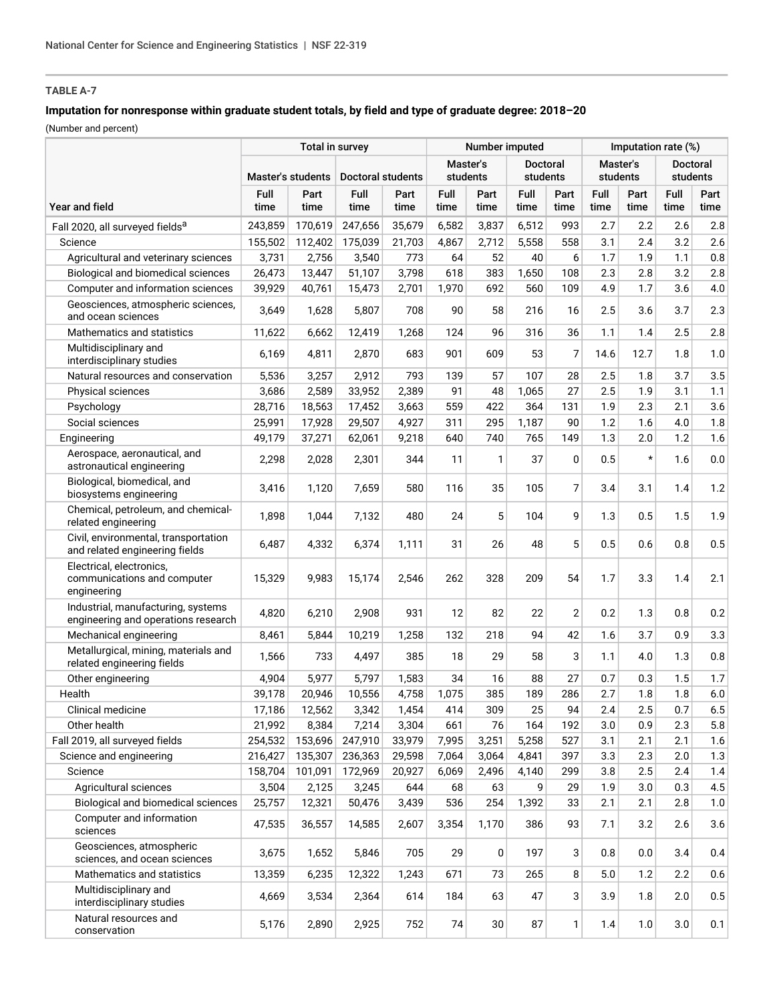# **TABLE A-7**

## **Imputation for nonresponse within graduate student totals, by field and type of graduate degree: 2018–20**

(Number and percent)

|                                                                           |                   | Number imputed |                   |              |                      | Imputation rate (%) |                             |                |                      |              |                             |              |
|---------------------------------------------------------------------------|-------------------|----------------|-------------------|--------------|----------------------|---------------------|-----------------------------|----------------|----------------------|--------------|-----------------------------|--------------|
|                                                                           | Master's students |                | Doctoral students |              | Master's<br>students |                     | <b>Doctoral</b><br>students |                | Master's<br>students |              | <b>Doctoral</b><br>students |              |
| <b>Year and field</b>                                                     | Full<br>time      | Part<br>time   | Full<br>time      | Part<br>time | Full<br>time         | Part<br>time        | Full<br>time                | Part<br>time   | Full<br>time         | Part<br>time | Full<br>time                | Part<br>time |
| Fall 2020, all surveyed fields <sup>a</sup>                               | 243,859           | 170,619        | 247,656           | 35,679       | 6,582                | 3,837               | 6,512                       | 993            | 2.7                  | 2.2          | 2.6                         | 2.8          |
| Science                                                                   | 155,502           | 112,402        | 175,039           | 21,703       | 4,867                | 2,712               | 5,558                       | 558            | 3.1                  | 2.4          | 3.2                         | 2.6          |
| Agricultural and veterinary sciences                                      | 3,731             | 2,756          | 3,540             | 773          | 64                   | 52                  | 40                          | 6              | 1.7                  | 1.9          | 1.1                         | 0.8          |
| Biological and biomedical sciences                                        | 26,473            | 13,447         | 51,107            | 3,798        | 618                  | 383                 | 1,650                       | 108            | 2.3                  | 2.8          | 3.2                         | 2.8          |
| Computer and information sciences                                         | 39,929            | 40,761         | 15,473            | 2,701        | 1,970                | 692                 | 560                         | 109            | 4.9                  | 1.7          | 3.6                         | 4.0          |
| Geosciences, atmospheric sciences,<br>and ocean sciences                  | 3,649             | 1,628          | 5,807             | 708          | 90                   | 58                  | 216                         | 16             | 2.5                  | 3.6          | 3.7                         | 2.3          |
| Mathematics and statistics                                                | 11,622            | 6,662          | 12,419            | 1,268        | 124                  | 96                  | 316                         | 36             | 1.1                  | 1.4          | 2.5                         | 2.8          |
| Multidisciplinary and<br>interdisciplinary studies                        | 6,169             | 4,811          | 2,870             | 683          | 901                  | 609                 | 53                          | 7              | 14.6                 | 12.7         | 1.8                         | 1.0          |
| Natural resources and conservation                                        | 5,536             | 3,257          | 2,912             | 793          | 139                  | 57                  | 107                         | 28             | 2.5                  | 1.8          | 3.7                         | 3.5          |
| Physical sciences                                                         | 3,686             | 2,589          | 33,952            | 2,389        | 91                   | 48                  | 1,065                       | 27             | 2.5                  | 1.9          | 3.1                         | 1.1          |
| Psychology                                                                | 28,716            | 18,563         | 17,452            | 3,663        | 559                  | 422                 | 364                         | 131            | 1.9                  | 2.3          | 2.1                         | 3.6          |
| Social sciences                                                           | 25,991            | 17,928         | 29,507            | 4,927        | 311                  | 295                 | 1,187                       | 90             | 1.2                  | 1.6          | 4.0                         | 1.8          |
| Engineering                                                               | 49,179            | 37,271         | 62,061            | 9,218        | 640                  | 740                 | 765                         | 149            | 1.3                  | 2.0          | 1.2                         | 1.6          |
| Aerospace, aeronautical, and<br>astronautical engineering                 | 2,298             | 2,028          | 2,301             | 344          | 11                   | $\mathbf{1}$        | 37                          | 0              | 0.5                  | $\star$      | 1.6                         | 0.0          |
| Biological, biomedical, and<br>biosystems engineering                     | 3,416             | 1,120          | 7,659             | 580          | 116                  | 35                  | 105                         | 7              | 3.4                  | 3.1          | 1.4                         | 1.2          |
| Chemical, petroleum, and chemical-<br>related engineering                 | 1,898             | 1,044          | 7,132             | 480          | 24                   | 5                   | 104                         | 9              | 1.3                  | 0.5          | 1.5                         | 1.9          |
| Civil, environmental, transportation<br>and related engineering fields    | 6,487             | 4,332          | 6,374             | 1,111        | 31                   | 26                  | 48                          | 5              | 0.5                  | 0.6          | 0.8                         | 0.5          |
| Electrical, electronics,<br>communications and computer<br>engineering    | 15,329            | 9,983          | 15,174            | 2,546        | 262                  | 328                 | 209                         | 54             | 1.7                  | 3.3          | 1.4                         | 2.1          |
| Industrial, manufacturing, systems<br>engineering and operations research | 4,820             | 6,210          | 2,908             | 931          | 12                   | 82                  | 22                          | $\overline{2}$ | 0.2                  | 1.3          | 0.8                         | 0.2          |
| Mechanical engineering                                                    | 8,461             | 5,844          | 10,219            | 1,258        | 132                  | 218                 | 94                          | 42             | 1.6                  | 3.7          | 0.9                         | 3.3          |
| Metallurgical, mining, materials and<br>related engineering fields        | 1,566             | 733            | 4,497             | 385          | 18                   | 29                  | 58                          | 3              | 1.1                  | 4.0          | 1.3                         | 0.8          |
| Other engineering                                                         | 4,904             | 5,977          | 5,797             | 1,583        | 34                   | 16                  | 88                          | 27             | 0.7                  | 0.3          | 1.5                         | 1.7          |
| Health                                                                    | 39,178            | 20,946         | 10,556            | 4,758        | 1,075                | 385                 | 189                         | 286            | 2.7                  | 1.8          | 1.8                         | $6.0\,$      |
| Clinical medicine                                                         | 17,186            | 12,562         | 3,342             | 1,454        | 414                  | 309                 | 25                          | 94             | 2.4                  | 2.5          | 0.7                         | $6.5\,$      |
| Other health                                                              | 21,992            | 8,384          | 7,214             | 3,304        | 661                  | 76                  | 164                         | 192            | 3.0                  | 0.9          | 2.3                         | 5.8          |
| Fall 2019, all surveyed fields                                            | 254,532           | 153,696        | 247,910           | 33,979       | 7,995                | 3,251               | 5,258                       | 527            | 3.1                  | 2.1          | 2.1                         | 1.6          |
| Science and engineering                                                   | 216,427           | 135,307        | 236,363           | 29,598       | 7,064                | 3,064               | 4,841                       | 397            | 3.3                  | 2.3          | 2.0                         | 1.3          |
| Science                                                                   | 158,704           | 101,091        | 172,969           | 20,927       | 6,069                | 2,496               | 4,140                       | 299            | 3.8                  | 2.5          | 2.4                         | 1.4          |
| Agricultural sciences                                                     | 3,504             | 2,125          | 3,245             | 644          | 68                   | 63                  | 9                           | 29             | 1.9                  | 3.0          | 0.3                         | 4.5          |
| Biological and biomedical sciences                                        | 25,757            | 12,321         | 50,476            | 3,439        | 536                  | 254                 | 1,392                       | 33             | 2.1                  | 2.1          | 2.8                         | 1.0          |
| Computer and information<br>sciences                                      | 47,535            | 36,557         | 14,585            | 2,607        | 3,354                | 1,170               | 386                         | 93             | 7.1                  | 3.2          | 2.6                         | 3.6          |
| Geosciences, atmospheric<br>sciences, and ocean sciences                  | 3,675             | 1,652          | 5,846             | 705          | 29                   | 0                   | 197                         | 3              | 0.8                  | 0.0          | 3.4                         | 0.4          |
| Mathematics and statistics                                                | 13,359            | 6,235          | 12,322            | 1,243        | 671                  | 73                  | 265                         | 8              | 5.0                  | 1.2          | 2.2                         | 0.6          |
| Multidisciplinary and<br>interdisciplinary studies                        | 4,669             | 3,534          | 2,364             | 614          | 184                  | 63                  | 47                          | 3              | 3.9                  | 1.8          | 2.0                         | 0.5          |
| Natural resources and<br>conservation                                     | 5,176             | 2,890          | 2,925             | 752          | 74                   | 30                  | 87                          | 1              | 1.4                  | 1.0          | 3.0                         | 0.1          |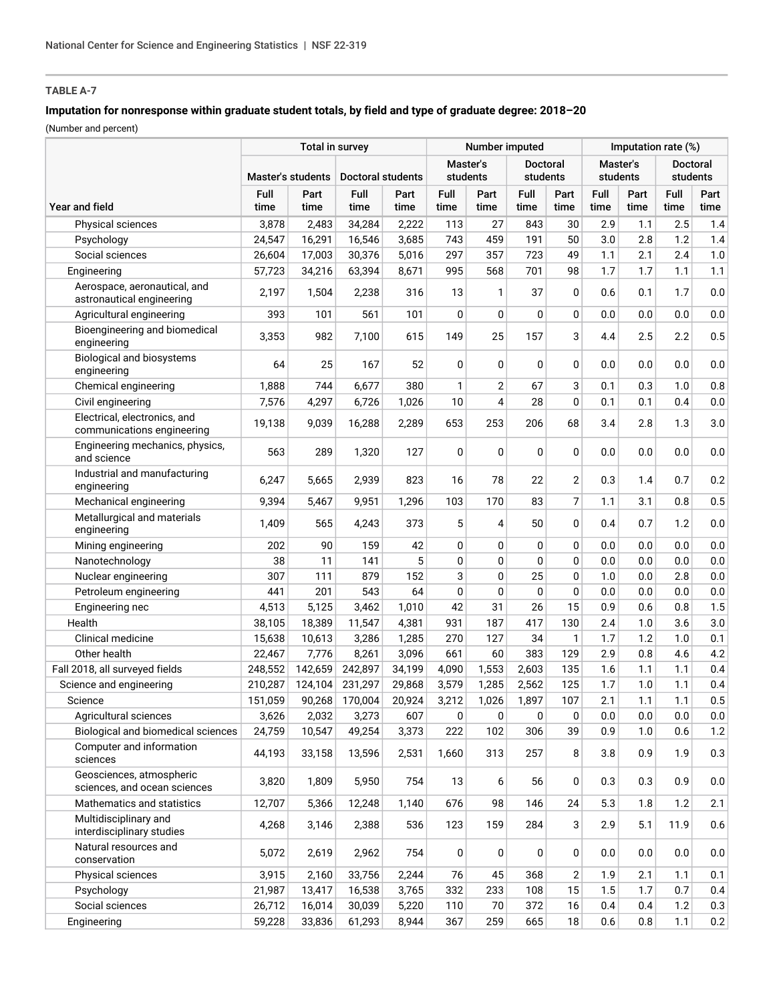# **TABLE A-7**

## **Imputation for nonresponse within graduate student totals, by field and type of graduate degree: 2018–20**

(Number and percent)

|                                                            |                   | Number imputed |                   |              |              | Imputation rate (%) |                 |                |              |              |                 |              |
|------------------------------------------------------------|-------------------|----------------|-------------------|--------------|--------------|---------------------|-----------------|----------------|--------------|--------------|-----------------|--------------|
|                                                            |                   |                |                   |              | Master's     |                     | <b>Doctoral</b> |                | Master's     |              | <b>Doctoral</b> |              |
|                                                            | Master's students |                | Doctoral students |              | students     |                     | students        |                | students     |              | students        |              |
| <b>Year and field</b>                                      | Full<br>time      | Part<br>time   | Full<br>time      | Part<br>time | Full<br>time | Part<br>time        | Full<br>time    | Part<br>time   | Full<br>time | Part<br>time | Full<br>time    | Part<br>time |
| Physical sciences                                          | 3.878             | 2,483          | 34,284            | 2,222        | 113          | 27                  | 843             | 30             | 2.9          | 1.1          | 2.5             | 1.4          |
| Psychology                                                 | 24,547            | 16,291         | 16,546            | 3,685        | 743          | 459                 | 191             | 50             | 3.0          | 2.8          | 1.2             | 1.4          |
| Social sciences                                            | 26,604            | 17,003         | 30,376            | 5,016        | 297          | 357                 | 723             | 49             | 1.1          | 2.1          | 2.4             | 1.0          |
| Engineering                                                | 57,723            | 34,216         | 63,394            | 8,671        | 995          | 568                 | 701             | 98             | 1.7          | 1.7          | 1.1             | 1.1          |
| Aerospace, aeronautical, and<br>astronautical engineering  | 2,197             | 1,504          | 2,238             | 316          | 13           | 1                   | 37              | 0              | 0.6          | 0.1          | 1.7             | 0.0          |
| Agricultural engineering                                   | 393               | 101            | 561               | 101          | 0            | 0                   | 0               | 0              | 0.0          | 0.0          | 0.0             | $0.0\,$      |
| Bioengineering and biomedical<br>engineering               | 3,353             | 982            | 7,100             | 615          | 149          | 25                  | 157             | 3              | 4.4          | 2.5          | 2.2             | 0.5          |
| Biological and biosystems<br>engineering                   | 64                | 25             | 167               | 52           | 0            | 0                   | 0               | $\mathbf 0$    | 0.0          | 0.0          | 0.0             | $0.0\,$      |
| Chemical engineering                                       | 1,888             | 744            | 6,677             | 380          | 1            | 2                   | 67              | 3              | 0.1          | 0.3          | 1.0             | 0.8          |
| Civil engineering                                          | 7,576             | 4,297          | 6,726             | 1,026        | 10           | 4                   | 28              | 0              | 0.1          | 0.1          | 0.4             | 0.0          |
| Electrical, electronics, and<br>communications engineering | 19,138            | 9,039          | 16,288            | 2,289        | 653          | 253                 | 206             | 68             | 3.4          | 2.8          | 1.3             | 3.0          |
| Engineering mechanics, physics,<br>and science             | 563               | 289            | 1,320             | 127          | 0            | $\Omega$            | 0               | 0              | 0.0          | 0.0          | 0.0             | $0.0\,$      |
| Industrial and manufacturing<br>engineering                | 6,247             | 5,665          | 2,939             | 823          | 16           | 78                  | 22              | $\overline{2}$ | 0.3          | 1.4          | 0.7             | 0.2          |
| Mechanical engineering                                     | 9,394             | 5,467          | 9,951             | 1,296        | 103          | 170                 | 83              | $\overline{7}$ | 1.1          | 3.1          | 0.8             | 0.5          |
| Metallurgical and materials<br>engineering                 | 1,409             | 565            | 4,243             | 373          | 5            | 4                   | 50              | $\mathbf 0$    | 0.4          | 0.7          | 1.2             | $0.0\,$      |
| Mining engineering                                         | 202               | 90             | 159               | 42           | 0            | 0                   | 0               | 0              | 0.0          | 0.0          | 0.0             | 0.0          |
| Nanotechnology                                             | 38                | 11             | 141               | 5            | 0            | 0                   | 0               | 0              | 0.0          | 0.0          | 0.0             | 0.0          |
| Nuclear engineering                                        | 307               | 111            | 879               | 152          | 3            | 0                   | 25              | 0              | 1.0          | 0.0          | 2.8             | $0.0\,$      |
| Petroleum engineering                                      | 441               | 201            | 543               | 64           | 0            | $\mathbf 0$         | 0               | 0              | 0.0          | 0.0          | 0.0             | $0.0\,$      |
| Engineering nec                                            | 4,513             | 5,125          | 3,462             | 1,010        | 42           | 31                  | 26              | 15             | 0.9          | 0.6          | 0.8             | 1.5          |
| Health                                                     | 38,105            | 18,389         | 11,547            | 4,381        | 931          | 187                 | 417             | 130            | 2.4          | 1.0          | 3.6             | 3.0          |
| Clinical medicine                                          | 15,638            | 10,613         | 3,286             | 1,285        | 270          | 127                 | 34              | 1              | 1.7          | 1.2          | 1.0             | 0.1          |
| Other health                                               | 22,467            | 7,776          | 8,261             | 3,096        | 661          | 60                  | 383             | 129            | 2.9          | 0.8          | 4.6             | 4.2          |
| Fall 2018, all surveyed fields                             | 248,552           | 142,659        | 242,897           | 34,199       | 4,090        | 1,553               | 2,603           | 135            | 1.6          | 1.1          | 1.1             | 0.4          |
| Science and engineering                                    | 210,287           | 124,104        | 231,297           | 29,868       | 3,579        | 1,285               | 2,562           | 125            | 1.7          | 1.0          | 1.1             | 0.4          |
| Science                                                    | 151,059           | 90,268         | 170,004           | 20,924       | 3,212        | 1,026               | 1,897           | 107            | 2.1          | 1.1          | 1.1             | 0.5          |
| Agricultural sciences                                      | 3,626             | 2,032          | 3,273             | 607          | 0            | 0                   | 0               | 0              | 0.0          | 0.0          | 0.0             | 0.0          |
| Biological and biomedical sciences                         | 24,759            | 10,547         | 49,254            | 3,373        | 222          | 102                 | 306             | 39             | 0.9          | 1.0          | 0.6             | 1.2          |
| Computer and information<br>sciences                       | 44,193            | 33,158         | 13,596            | 2,531        | 1,660        | 313                 | 257             | 8              | 3.8          | 0.9          | 1.9             | 0.3          |
| Geosciences, atmospheric<br>sciences, and ocean sciences   | 3,820             | 1,809          | 5,950             | 754          | 13           | 6                   | 56              | 0              | 0.3          | 0.3          | 0.9             | 0.0          |
| Mathematics and statistics                                 | 12,707            | 5,366          | 12,248            | 1,140        | 676          | 98                  | 146             | 24             | 5.3          | 1.8          | 1.2             | 2.1          |
| Multidisciplinary and<br>interdisciplinary studies         | 4,268             | 3,146          | 2,388             | 536          | 123          | 159                 | 284             | 3              | 2.9          | 5.1          | 11.9            | 0.6          |
| Natural resources and<br>conservation                      | 5,072             | 2,619          | 2,962             | 754          | 0            | 0                   | 0               | 0              | 0.0          | 0.0          | 0.0             | 0.0          |
| Physical sciences                                          | 3,915             | 2,160          | 33,756            | 2,244        | 76           | 45                  | 368             | 2              | 1.9          | 2.1          | 1.1             | 0.1          |
| Psychology                                                 | 21,987            | 13,417         | 16,538            | 3,765        | 332          | 233                 | 108             | 15             | 1.5          | 1.7          | 0.7             | 0.4          |
| Social sciences                                            | 26,712            | 16,014         | 30,039            | 5,220        | 110          | 70                  | 372             | 16             | 0.4          | 0.4          | 1.2             | 0.3          |
| Engineering                                                | 59,228            | 33,836         | 61,293            | 8,944        | 367          | 259                 | 665             | 18             | 0.6          | 0.8          | 1.1             | 0.2          |